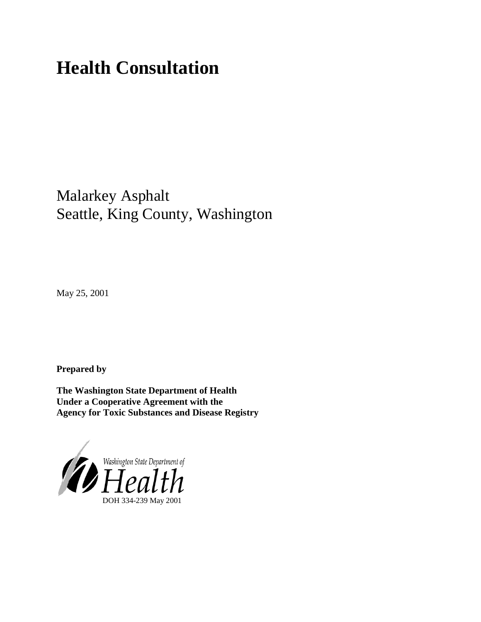# **Health Consultation**

# Malarkey Asphalt Seattle, King County, Washington

May 25, 2001

**Prepared by**

**The Washington State Department of Health Under a Cooperative Agreement with the Agency for Toxic Substances and Disease Registry**

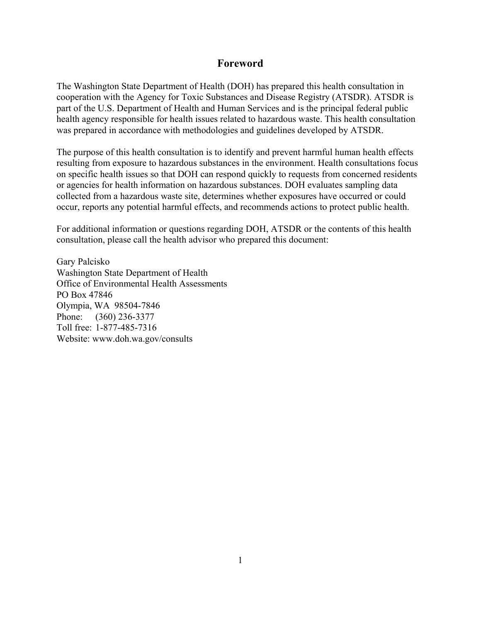#### **Foreword**

The Washington State Department of Health (DOH) has prepared this health consultation in cooperation with the Agency for Toxic Substances and Disease Registry (ATSDR). ATSDR is part of the U.S. Department of Health and Human Services and is the principal federal public health agency responsible for health issues related to hazardous waste. This health consultation was prepared in accordance with methodologies and guidelines developed by ATSDR.

The purpose of this health consultation is to identify and prevent harmful human health effects resulting from exposure to hazardous substances in the environment. Health consultations focus on specific health issues so that DOH can respond quickly to requests from concerned residents or agencies for health information on hazardous substances. DOH evaluates sampling data collected from a hazardous waste site, determines whether exposures have occurred or could occur, reports any potential harmful effects, and recommends actions to protect public health.

For additional information or questions regarding DOH, ATSDR or the contents of this health consultation, please call the health advisor who prepared this document:

Gary Palcisko Washington State Department of Health Office of Environmental Health Assessments PO Box 47846 Olympia, WA 98504-7846 Phone: (360) 236-3377 Toll free: 1-877-485-7316 Website: www.doh.wa.gov/consults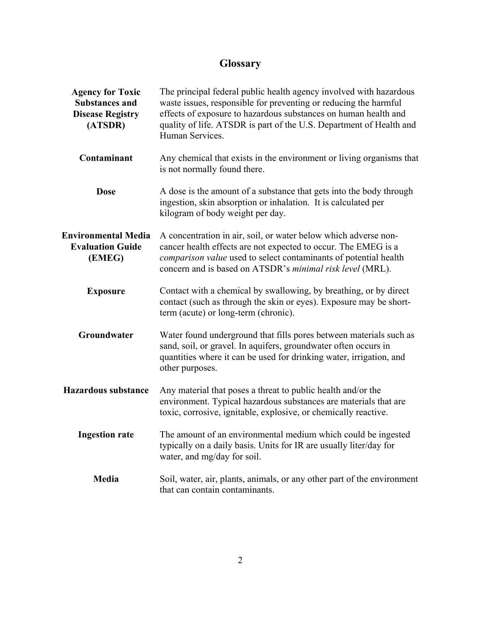## **Glossary**

| <b>Agency for Toxic</b><br><b>Substances and</b><br><b>Disease Registry</b><br>(ATSDR) | The principal federal public health agency involved with hazardous<br>waste issues, responsible for preventing or reducing the harmful<br>effects of exposure to hazardous substances on human health and<br>quality of life. ATSDR is part of the U.S. Department of Health and<br>Human Services. |
|----------------------------------------------------------------------------------------|-----------------------------------------------------------------------------------------------------------------------------------------------------------------------------------------------------------------------------------------------------------------------------------------------------|
| Contaminant                                                                            | Any chemical that exists in the environment or living organisms that<br>is not normally found there.                                                                                                                                                                                                |
| <b>Dose</b>                                                                            | A dose is the amount of a substance that gets into the body through<br>ingestion, skin absorption or inhalation. It is calculated per<br>kilogram of body weight per day.                                                                                                                           |
| <b>Environmental Media</b><br><b>Evaluation Guide</b><br>(EMEG)                        | A concentration in air, soil, or water below which adverse non-<br>cancer health effects are not expected to occur. The EMEG is a<br>comparison value used to select contaminants of potential health<br>concern and is based on ATSDR's minimal risk level (MRL).                                  |
| <b>Exposure</b>                                                                        | Contact with a chemical by swallowing, by breathing, or by direct<br>contact (such as through the skin or eyes). Exposure may be short-<br>term (acute) or long-term (chronic).                                                                                                                     |
| Groundwater                                                                            | Water found underground that fills pores between materials such as<br>sand, soil, or gravel. In aquifers, groundwater often occurs in<br>quantities where it can be used for drinking water, irrigation, and<br>other purposes.                                                                     |
| <b>Hazardous substance</b>                                                             | Any material that poses a threat to public health and/or the<br>environment. Typical hazardous substances are materials that are<br>toxic, corrosive, ignitable, explosive, or chemically reactive.                                                                                                 |
| <b>Ingestion rate</b>                                                                  | The amount of an environmental medium which could be ingested<br>typically on a daily basis. Units for IR are usually liter/day for<br>water, and mg/day for soil.                                                                                                                                  |
| Media                                                                                  | Soil, water, air, plants, animals, or any other part of the environment<br>that can contain contaminants.                                                                                                                                                                                           |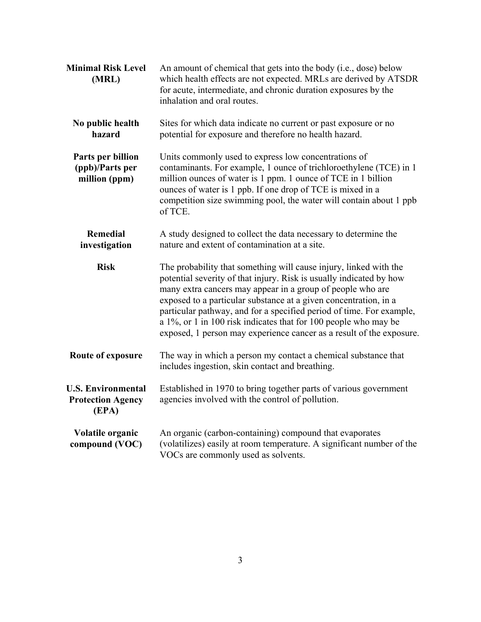| <b>Minimal Risk Level</b><br>(MRL)                             | An amount of chemical that gets into the body (i.e., dose) below<br>which health effects are not expected. MRLs are derived by ATSDR<br>for acute, intermediate, and chronic duration exposures by the<br>inhalation and oral routes.                                                                                                                                                                                                                                                         |
|----------------------------------------------------------------|-----------------------------------------------------------------------------------------------------------------------------------------------------------------------------------------------------------------------------------------------------------------------------------------------------------------------------------------------------------------------------------------------------------------------------------------------------------------------------------------------|
| No public health<br>hazard                                     | Sites for which data indicate no current or past exposure or no<br>potential for exposure and therefore no health hazard.                                                                                                                                                                                                                                                                                                                                                                     |
| Parts per billion<br>(ppb)/Parts per<br>million (ppm)          | Units commonly used to express low concentrations of<br>contaminants. For example, 1 ounce of trichloroethylene (TCE) in 1<br>million ounces of water is 1 ppm. 1 ounce of TCE in 1 billion<br>ounces of water is 1 ppb. If one drop of TCE is mixed in a<br>competition size swimming pool, the water will contain about 1 ppb<br>of TCE.                                                                                                                                                    |
| <b>Remedial</b><br>investigation                               | A study designed to collect the data necessary to determine the<br>nature and extent of contamination at a site.                                                                                                                                                                                                                                                                                                                                                                              |
| <b>Risk</b>                                                    | The probability that something will cause injury, linked with the<br>potential severity of that injury. Risk is usually indicated by how<br>many extra cancers may appear in a group of people who are<br>exposed to a particular substance at a given concentration, in a<br>particular pathway, and for a specified period of time. For example,<br>a 1%, or 1 in 100 risk indicates that for 100 people who may be<br>exposed, 1 person may experience cancer as a result of the exposure. |
| Route of exposure                                              | The way in which a person my contact a chemical substance that<br>includes ingestion, skin contact and breathing.                                                                                                                                                                                                                                                                                                                                                                             |
| <b>U.S. Environmental</b><br><b>Protection Agency</b><br>(EPA) | Established in 1970 to bring together parts of various government<br>agencies involved with the control of pollution.                                                                                                                                                                                                                                                                                                                                                                         |
| Volatile organic<br>compound (VOC)                             | An organic (carbon-containing) compound that evaporates<br>(volatilizes) easily at room temperature. A significant number of the<br>VOCs are commonly used as solvents.                                                                                                                                                                                                                                                                                                                       |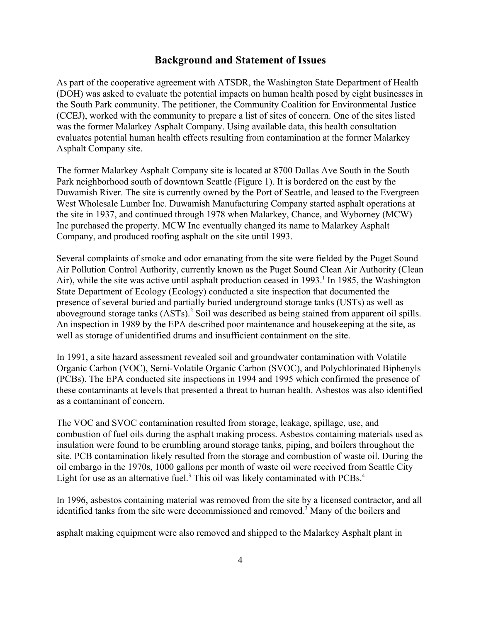#### **Background and Statement of Issues**

As part of the cooperative agreement with ATSDR, the Washington State Department of Health (DOH) was asked to evaluate the potential impacts on human health posed by eight businesses in the South Park community. The petitioner, the Community Coalition for Environmental Justice (CCEJ), worked with the community to prepare a list of sites of concern. One of the sites listed was the former Malarkey Asphalt Company. Using available data, this health consultation evaluates potential human health effects resulting from contamination at the former Malarkey Asphalt Company site.

The former Malarkey Asphalt Company site is located at 8700 Dallas Ave South in the South Park neighborhood south of downtown Seattle (Figure 1). It is bordered on the east by the Duwamish River. The site is currently owned by the Port of Seattle, and leased to the Evergreen West Wholesale Lumber Inc. Duwamish Manufacturing Company started asphalt operations at the site in 1937, and continued through 1978 when Malarkey, Chance, and Wyborney (MCW) Inc purchased the property. MCW Inc eventually changed its name to Malarkey Asphalt Company, and produced roofing asphalt on the site until 1993.

Several complaints of smoke and odor emanating from the site were fielded by the Puget Sound Air Pollution Control Authority, currently known as the Puget Sound Clean Air Authority (Clean Air), while the site was active until asphalt production ceased in 1993.<sup>1</sup> In 1985, the Washington State Department of Ecology (Ecology) conducted a site inspection that documented the presence of several buried and partially buried underground storage tanks (USTs) as well as aboveground storage tanks (ASTs).<sup>2</sup> Soil was described as being stained from apparent oil spills. An inspection in 1989 by the EPA described poor maintenance and housekeeping at the site, as well as storage of unidentified drums and insufficient containment on the site.

In 1991, a site hazard assessment revealed soil and groundwater contamination with Volatile Organic Carbon (VOC), Semi-Volatile Organic Carbon (SVOC), and Polychlorinated Biphenyls (PCBs). The EPA conducted site inspections in 1994 and 1995 which confirmed the presence of these contaminants at levels that presented a threat to human health. Asbestos was also identified as a contaminant of concern.

The VOC and SVOC contamination resulted from storage, leakage, spillage, use, and combustion of fuel oils during the asphalt making process. Asbestos containing materials used as insulation were found to be crumbling around storage tanks, piping, and boilers throughout the site. PCB contamination likely resulted from the storage and combustion of waste oil. During the oil embargo in the 1970s, 1000 gallons per month of waste oil were received from Seattle City Light for use as an alternative fuel.<sup>3</sup> This oil was likely contaminated with  $PCBs$ .<sup>4</sup>

In 1996, asbestos containing material was removed from the site by a licensed contractor, and all identified tanks from the site were decommissioned and removed.<sup>3</sup> Many of the boilers and

asphalt making equipment were also removed and shipped to the Malarkey Asphalt plant in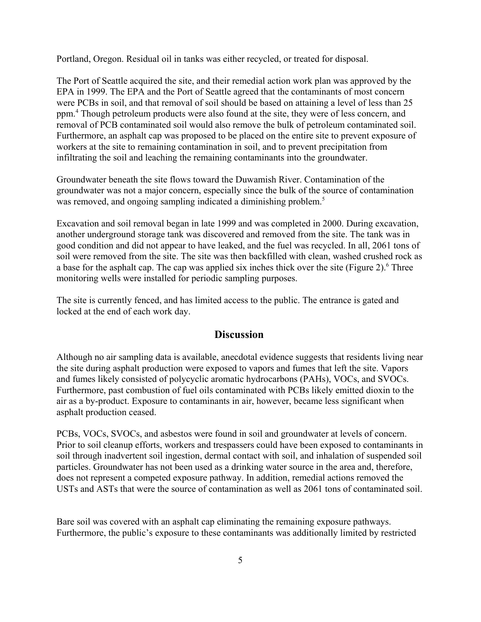Portland, Oregon. Residual oil in tanks was either recycled, or treated for disposal.

The Port of Seattle acquired the site, and their remedial action work plan was approved by the EPA in 1999. The EPA and the Port of Seattle agreed that the contaminants of most concern were PCBs in soil, and that removal of soil should be based on attaining a level of less than 25 ppm.4 Though petroleum products were also found at the site, they were of less concern, and removal of PCB contaminated soil would also remove the bulk of petroleum contaminated soil. Furthermore, an asphalt cap was proposed to be placed on the entire site to prevent exposure of workers at the site to remaining contamination in soil, and to prevent precipitation from infiltrating the soil and leaching the remaining contaminants into the groundwater.

Groundwater beneath the site flows toward the Duwamish River. Contamination of the groundwater was not a major concern, especially since the bulk of the source of contamination was removed, and ongoing sampling indicated a diminishing problem.<sup>5</sup>

Excavation and soil removal began in late 1999 and was completed in 2000. During excavation, another underground storage tank was discovered and removed from the site. The tank was in good condition and did not appear to have leaked, and the fuel was recycled. In all, 2061 tons of soil were removed from the site. The site was then backfilled with clean, washed crushed rock as a base for the asphalt cap. The cap was applied six inches thick over the site (Figure 2).<sup>6</sup> Three monitoring wells were installed for periodic sampling purposes.

The site is currently fenced, and has limited access to the public. The entrance is gated and locked at the end of each work day.

#### **Discussion**

Although no air sampling data is available, anecdotal evidence suggests that residents living near the site during asphalt production were exposed to vapors and fumes that left the site. Vapors and fumes likely consisted of polycyclic aromatic hydrocarbons (PAHs), VOCs, and SVOCs. Furthermore, past combustion of fuel oils contaminated with PCBs likely emitted dioxin to the air as a by-product. Exposure to contaminants in air, however, became less significant when asphalt production ceased.

PCBs, VOCs, SVOCs, and asbestos were found in soil and groundwater at levels of concern. Prior to soil cleanup efforts, workers and trespassers could have been exposed to contaminants in soil through inadvertent soil ingestion, dermal contact with soil, and inhalation of suspended soil particles. Groundwater has not been used as a drinking water source in the area and, therefore, does not represent a competed exposure pathway. In addition, remedial actions removed the USTs and ASTs that were the source of contamination as well as 2061 tons of contaminated soil.

Bare soil was covered with an asphalt cap eliminating the remaining exposure pathways. Furthermore, the public's exposure to these contaminants was additionally limited by restricted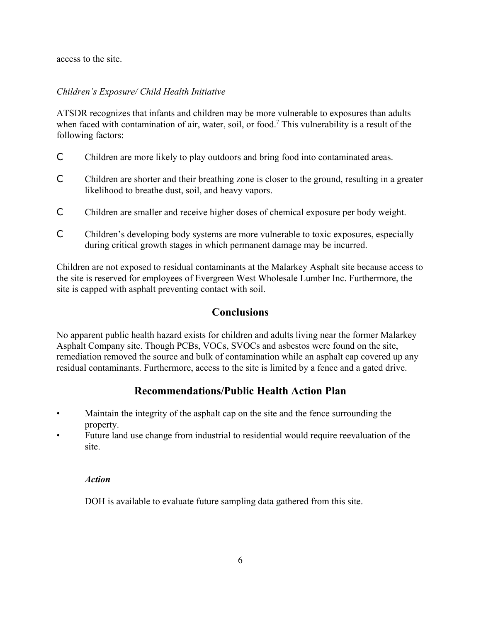access to the site.

#### *Children's Exposure/ Child Health Initiative*

ATSDR recognizes that infants and children may be more vulnerable to exposures than adults when faced with contamination of air, water, soil, or food.<sup>7</sup> This vulnerability is a result of the following factors:

- C Children are more likely to play outdoors and bring food into contaminated areas.
- C Children are shorter and their breathing zone is closer to the ground, resulting in a greater likelihood to breathe dust, soil, and heavy vapors.
- C Children are smaller and receive higher doses of chemical exposure per body weight.
- C Children's developing body systems are more vulnerable to toxic exposures, especially during critical growth stages in which permanent damage may be incurred.

Children are not exposed to residual contaminants at the Malarkey Asphalt site because access to the site is reserved for employees of Evergreen West Wholesale Lumber Inc. Furthermore, the site is capped with asphalt preventing contact with soil.

#### **Conclusions**

No apparent public health hazard exists for children and adults living near the former Malarkey Asphalt Company site. Though PCBs, VOCs, SVOCs and asbestos were found on the site, remediation removed the source and bulk of contamination while an asphalt cap covered up any residual contaminants. Furthermore, access to the site is limited by a fence and a gated drive.

#### **Recommendations/Public Health Action Plan**

- Maintain the integrity of the asphalt cap on the site and the fence surrounding the property.
- Future land use change from industrial to residential would require reevaluation of the site.

#### *Action*

DOH is available to evaluate future sampling data gathered from this site.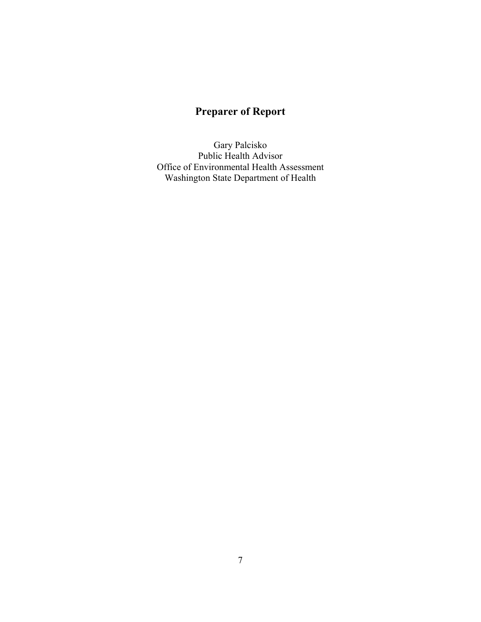### **Preparer of Report**

Gary Palcisko Public Health Advisor Office of Environmental Health Assessment Washington State Department of Health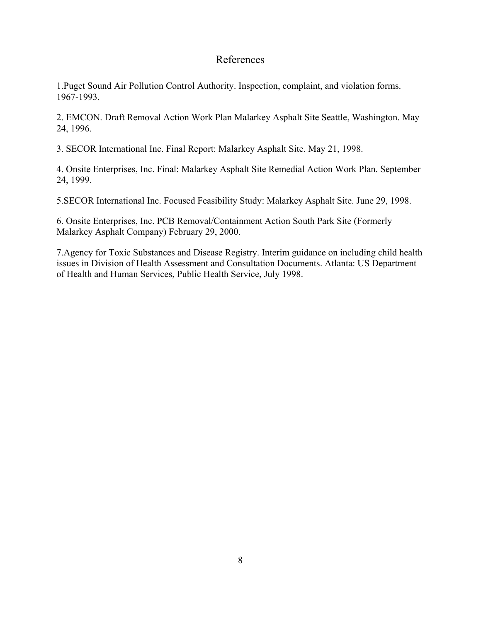#### References

1.Puget Sound Air Pollution Control Authority. Inspection, complaint, and violation forms. 1967-1993.

2. EMCON. Draft Removal Action Work Plan Malarkey Asphalt Site Seattle, Washington. May 24, 1996.

3. SECOR International Inc. Final Report: Malarkey Asphalt Site. May 21, 1998.

4. Onsite Enterprises, Inc. Final: Malarkey Asphalt Site Remedial Action Work Plan. September 24, 1999.

5.SECOR International Inc. Focused Feasibility Study: Malarkey Asphalt Site. June 29, 1998.

6. Onsite Enterprises, Inc. PCB Removal/Containment Action South Park Site (Formerly Malarkey Asphalt Company) February 29, 2000.

7.Agency for Toxic Substances and Disease Registry. Interim guidance on including child health issues in Division of Health Assessment and Consultation Documents. Atlanta: US Department of Health and Human Services, Public Health Service, July 1998.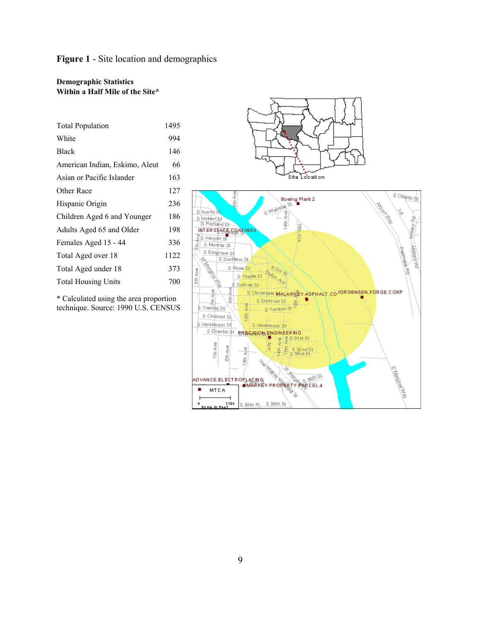#### **Figure 1** - Site location and demographics

#### **Demographic Statistics Within a Half Mile of the Site\***

| <b>Total Population</b>        |     |
|--------------------------------|-----|
| White                          |     |
| <b>Black</b>                   | 146 |
| American Indian, Eskimo, Aleut |     |
| Asian or Pacific Islander      |     |
| Other Race                     |     |
| Hispanic Origin                |     |
| Children Aged 6 and Younger    |     |
| Adults Aged 65 and Older       |     |
| Females Aged 15 - 44           |     |
| Total Aged over 18             |     |
| Total Aged under 18            |     |
| <b>Total Housing Units</b>     |     |
|                                |     |

\* Calculated using the area proportion technique. Source: 1990 U.S. CENSUS

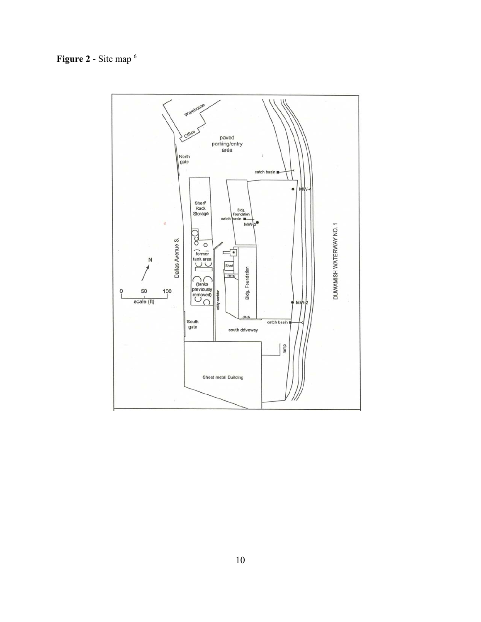### **Figure 2** - Site map 6